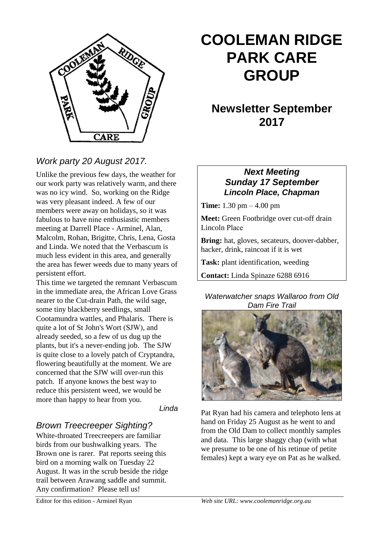

# **COOLEMAN RIDGE PARK CARE GROUP**

# **Newsletter September 2017**

# *Work party 20 August 2017.*

Unlike the previous few days, the weather for our work party was relatively warm, and there was no icy wind. So, working on the Ridge was very pleasant indeed. A few of our members were away on holidays, so it was fabulous to have nine enthusiastic members meeting at Darrell Place - Arminel, Alan, Malcolm, Rohan, Brigitte, Chris, Lena, Gosta and Linda. We noted that the Verbascum is much less evident in this area, and generally the area has fewer weeds due to many years of persistent effort.

This time we targeted the remnant Verbascum in the immediate area, the African Love Grass nearer to the Cut-drain Path, the wild sage, some tiny blackberry seedlings, small Cootamundra wattles, and Phalaris. There is quite a lot of St John's Wort (SJW), and already seeded, so a few of us dug up the plants, but it's a never-ending job. The SJW is quite close to a lovely patch of Cryptandra, flowering beautifully at the moment. We are concerned that the SJW will over-run this patch. If anyone knows the best way to reduce this persistent weed, we would be more than happy to hear from you.

*Linda* 

#### *Brown Treecreeper Sighting?*

White-throated Treecreepers are familiar birds from our bushwalking years. The Brown one is rarer. Pat reports seeing this bird on a morning walk on Tuesday 22 August. It was in the scrub beside the ridge trail between Arawang saddle and summit. Any confirmation? Please tell us!

### *Next Meeting Sunday 17 September Lincoln Place, Chapman*

**Time:** 1.30 pm – 4.00 pm

**Meet:** Green Footbridge over cut-off drain Lincoln Place

**Bring:** hat, gloves, secateurs, doover-dabber, hacker, drink, raincoat if it is wet

**Task:** plant identification, weeding

**Contact:** Linda Spinaze 6288 6916

#### *Waterwatcher snaps Wallaroo from Old Dam Fire Trail*



Pat Ryan had his camera and telephoto lens at hand on Friday 25 August as he went to and from the Old Dam to collect monthly samples and data. This large shaggy chap (with what we presume to be one of his retinue of petite females) kept a wary eye on Pat as he walked.